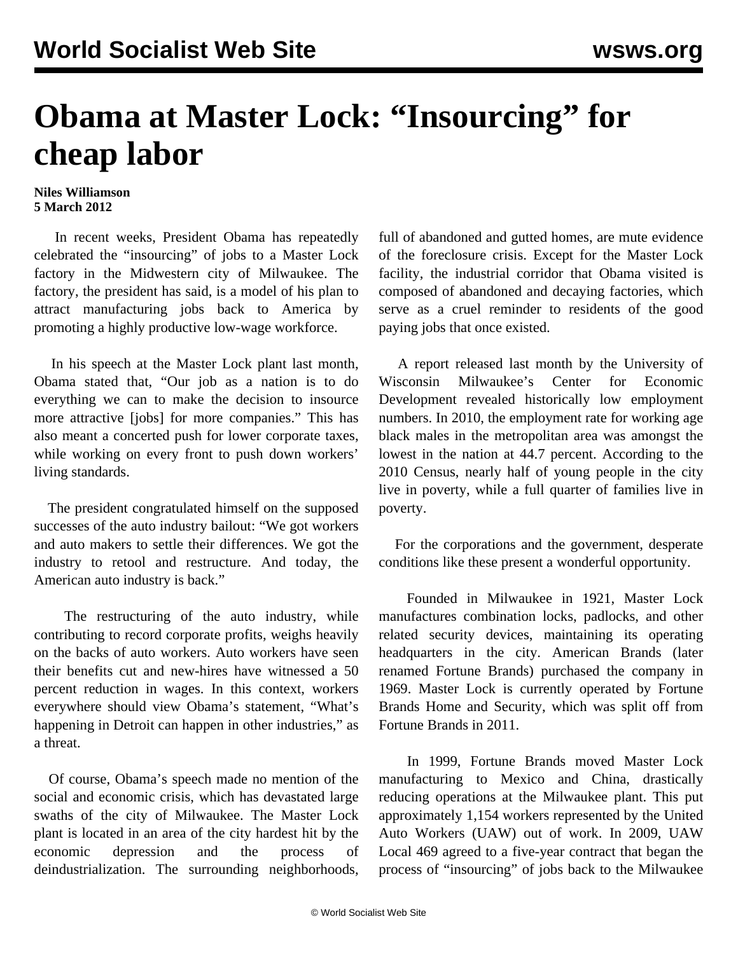## **Obama at Master Lock: "Insourcing" for cheap labor**

## **Niles Williamson 5 March 2012**

 In recent weeks, President Obama has repeatedly celebrated the "insourcing" of jobs to a Master Lock factory in the Midwestern city of Milwaukee. The factory, the president has said, is a model of his plan to attract manufacturing jobs back to America by promoting a highly productive low-wage workforce.

 In his speech at the Master Lock plant last month, Obama stated that, "Our job as a nation is to do everything we can to make the decision to insource more attractive [jobs] for more companies." This has also meant a concerted push for lower corporate taxes, while working on every front to push down workers' living standards.

 The president congratulated himself on the supposed successes of the auto industry bailout: "We got workers and auto makers to settle their differences. We got the industry to retool and restructure. And today, the American auto industry is back."

 The restructuring of the auto industry, while contributing to record corporate profits, weighs heavily on the backs of auto workers. Auto workers have seen their benefits cut and new-hires have witnessed a 50 percent reduction in wages. In this context, workers everywhere should view Obama's statement, "What's happening in Detroit can happen in other industries," as a threat.

 Of course, Obama's speech made no mention of the social and economic crisis, which has devastated large swaths of the city of Milwaukee. The Master Lock plant is located in an area of the city hardest hit by the economic depression and the process of deindustrialization. The surrounding neighborhoods,

full of abandoned and gutted homes, are mute evidence of the foreclosure crisis. Except for the Master Lock facility, the industrial corridor that Obama visited is composed of abandoned and decaying factories, which serve as a cruel reminder to residents of the good paying jobs that once existed.

 A report released last month by the University of Wisconsin Milwaukee's Center for Economic Development revealed historically low employment numbers. In 2010, the employment rate for working age black males in the metropolitan area was amongst the lowest in the nation at 44.7 percent. According to the 2010 Census, nearly half of young people in the city live in poverty, while a full quarter of families live in poverty.

 For the corporations and the government, desperate conditions like these present a wonderful opportunity.

 Founded in Milwaukee in 1921, Master Lock manufactures combination locks, padlocks, and other related security devices, maintaining its operating headquarters in the city. American Brands (later renamed Fortune Brands) purchased the company in 1969. Master Lock is currently operated by Fortune Brands Home and Security, which was split off from Fortune Brands in 2011.

 In 1999, Fortune Brands moved Master Lock manufacturing to Mexico and China, drastically reducing operations at the Milwaukee plant. This put approximately 1,154 workers represented by the United Auto Workers (UAW) out of work. In 2009, UAW Local 469 agreed to a five-year contract that began the process of "insourcing" of jobs back to the Milwaukee